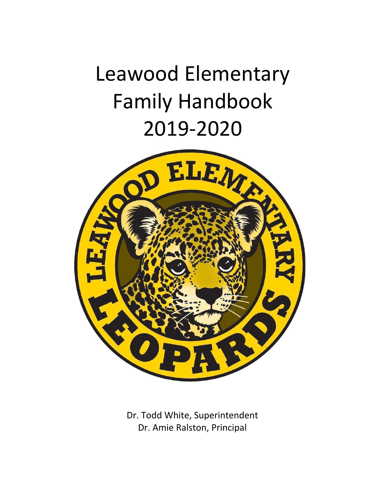# Leawood Elementary Family Handbook 2019-2020



Dr. Todd White, Superintendent Dr. Amie Ralston, Principal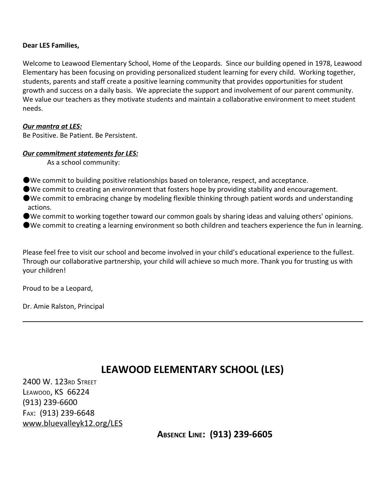#### **Dear LES Families,**

Welcome to Leawood Elementary School, Home of the Leopards. Since our building opened in 1978, Leawood Elementary has been focusing on providing personalized student learning for every child. Working together, students, parents and staff create a positive learning community that provides opportunities for student growth and success on a daily basis. We appreciate the support and involvement of our parent community. We value our teachers as they motivate students and maintain a collaborative environment to meet student needs.

#### *Our mantra at LES:*

Be Positive. Be Patient. Be Persistent.

#### *Our commitment statements for LES:*

As a school community:

- ●We commit to building positive relationships based on tolerance, respect, and acceptance.
- ●We commit to creating an environment that fosters hope by providing stability and encouragement.
- ●We commit to embracing change by modeling flexible thinking through patient words and understanding actions.
- ●We commit to working together toward our common goals by sharing ideas and valuing others' opinions.
- ●We commit to creating a learning environment so both children and teachers experience the fun in learning.

Please feel free to visit our school and become involved in your child's educational experience to the fullest. Through our collaborative partnership, your child will achieve so much more. Thank you for trusting us with your children!

Proud to be a Leopard,

Dr. Amie Ralston, Principal

## **LEAWOOD ELEMENTARY SCHOOL (LES)**

2400 W. 123RD STREET LEAWOOD, KS 66224 (913) 239-6600 FAX: (913) 239-6648 www.bluevalleyk12.org/LES

**ABSENCE LINE: (913) 239-6605**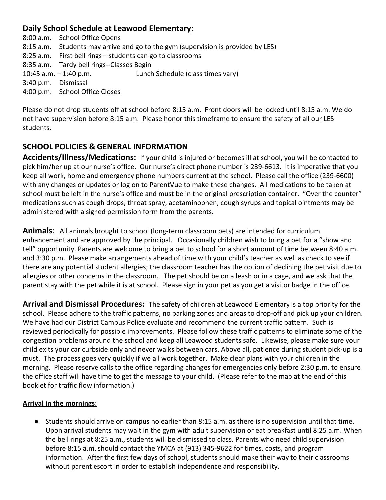## **Daily School Schedule at Leawood Elementary:**

|                     | 8:00 a.m. School Office Opens                                                    |                                   |  |
|---------------------|----------------------------------------------------------------------------------|-----------------------------------|--|
|                     | 8:15 a.m. Students may arrive and go to the gym (supervision is provided by LES) |                                   |  |
|                     | 8:25 a.m. First bell rings-students can go to classrooms                         |                                   |  |
|                     | 8:35 a.m. Tardy bell rings--Classes Begin                                        |                                   |  |
|                     | 10:45 a.m. $-$ 1:40 p.m.                                                         | Lunch Schedule (class times vary) |  |
| 3:40 p.m. Dismissal |                                                                                  |                                   |  |
|                     | 4:00 p.m. School Office Closes                                                   |                                   |  |
|                     |                                                                                  |                                   |  |

Please do not drop students off at school before 8:15 a.m. Front doors will be locked until 8:15 a.m. We do not have supervision before 8:15 a.m. Please honor this timeframe to ensure the safety of all our LES students.

## **SCHOOL POLICIES & GENERAL INFORMATION**

**Accidents/Illness/Medications:** If your child is injured or becomes ill at school, you will be contacted to pick him/her up at our nurse's office. Our nurse's direct phone number is 239-6613. It is imperative that you keep all work, home and emergency phone numbers current at the school. Please call the office (239-6600) with any changes or updates or log on to ParentVue to make these changes. All medications to be taken at school must be left in the nurse's office and must be in the original prescription container. "Over the counter" medications such as cough drops, throat spray, acetaminophen, cough syrups and topical ointments may be administered with a signed permission form from the parents.

**Animals**: All animals brought to school (long-term classroom pets) are intended for curriculum enhancement and are approved by the principal. Occasionally children wish to bring a pet for a "show and tell" opportunity. Parents are welcome to bring a pet to school for a short amount of time between 8:40 a.m. and 3:30 p.m. Please make arrangements ahead of time with your child's teacher as well as check to see if there are any potential student allergies; the classroom teacher has the option of declining the pet visit due to allergies or other concerns in the classroom. The pet should be on a leash or in a cage, and we ask that the parent stay with the pet while it is at school. Please sign in your pet as you get a visitor badge in the office.

**Arrival and Dismissal Procedures:** The safety of children at Leawood Elementary is a top priority for the school. Please adhere to the traffic patterns, no parking zones and areas to drop-off and pick up your children. We have had our District Campus Police evaluate and recommend the current traffic pattern. Such is reviewed periodically for possible improvements. Please follow these traffic patterns to eliminate some of the congestion problems around the school and keep all Leawood students safe. Likewise, please make sure your child exits your car curbside only and never walks between cars. Above all, patience during student pick-up is a must. The process goes very quickly if we all work together. Make clear plans with your children in the morning. Please reserve calls to the office regarding changes for emergencies only before 2:30 p.m. to ensure the office staff will have time to get the message to your child. (Please refer to the map at the end of this booklet for traffic flow information.)

#### **Arrival in the mornings:**

● Students should arrive on campus no earlier than 8:15 a.m. as there is no supervision until that time. Upon arrival students may wait in the gym with adult supervision or eat breakfast until 8:25 a.m. When the bell rings at 8:25 a.m., students will be dismissed to class. Parents who need child supervision before 8:15 a.m. should contact the YMCA at (913) 345-9622 for times, costs, and program information. After the first few days of school, students should make their way to their classrooms without parent escort in order to establish independence and responsibility.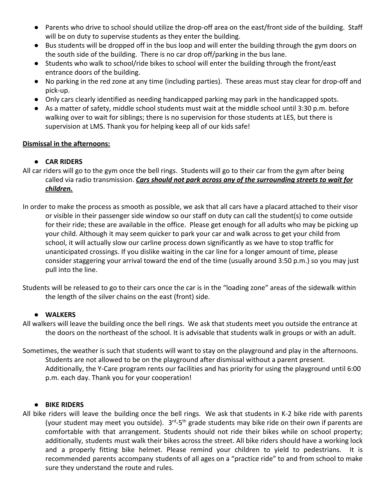- Parents who drive to school should utilize the drop-off area on the east/front side of the building. Staff will be on duty to supervise students as they enter the building.
- Bus students will be dropped off in the bus loop and will enter the building through the gym doors on the south side of the building. There is no car drop off/parking in the bus lane.
- Students who walk to school/ride bikes to school will enter the building through the front/east entrance doors of the building.
- No parking in the red zone at any time (including parties). These areas must stay clear for drop-off and pick-up.
- Only cars clearly identified as needing handicapped parking may park in the handicapped spots.
- As a matter of safety, middle school students must wait at the middle school until 3:30 p.m. before walking over to wait for siblings; there is no supervision for those students at LES, but there is supervision at LMS. Thank you for helping keep all of our kids safe!

#### **Dismissal in the afternoons:**

## ● **CAR RIDERS**

- All car riders will go to the gym once the bell rings. Students will go to their car from the gym after being called via radio transmission. *Cars should not park across any of the surrounding streets to wait for children.*
- In order to make the process as smooth as possible, we ask that all cars have a placard attached to their visor or visible in their passenger side window so our staff on duty can call the student(s) to come outside for their ride; these are available in the office. Please get enough for all adults who may be picking up your child. Although it may seem quicker to park your car and walk across to get your child from school, it will actually slow our carline process down significantly as we have to stop traffic for unanticipated crossings. If you dislike waiting in the car line for a longer amount of time, please consider staggering your arrival toward the end of the time (usually around 3:50 p.m.) so you may just pull into the line.
- Students will be released to go to their cars once the car is in the "loading zone" areas of the sidewalk within the length of the silver chains on the east (front) side.

#### ● **WALKERS**

- All walkers will leave the building once the bell rings. We ask that students meet you outside the entrance at the doors on the northeast of the school. It is advisable that students walk in groups or with an adult.
- Sometimes, the weather is such that students will want to stay on the playground and play in the afternoons. Students are not allowed to be on the playground after dismissal without a parent present. Additionally, the Y-Care program rents our facilities and has priority for using the playground until 6:00 p.m. each day. Thank you for your cooperation!

#### ● **BIKE RIDERS**

All bike riders will leave the building once the bell rings. We ask that students in K-2 bike ride with parents (your student may meet you outside).  $3^{rd}$ -5<sup>th</sup> grade students may bike ride on their own if parents are comfortable with that arrangement. Students should not ride their bikes while on school property; additionally, students must walk their bikes across the street. All bike riders should have a working lock and a properly fitting bike helmet. Please remind your children to yield to pedestrians. It is recommended parents accompany students of all ages on a "practice ride" to and from school to make sure they understand the route and rules.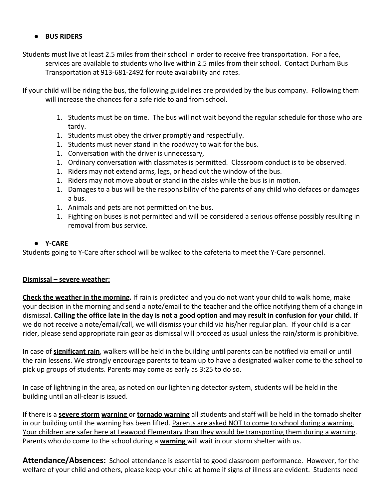#### ● **BUS RIDERS**

Students must live at least 2.5 miles from their school in order to receive free transportation. For a fee, services are available to students who live within 2.5 miles from their school. Contact Durham Bus Transportation at 913-681-2492 for route availability and rates.

If your child will be riding the bus, the following guidelines are provided by the bus company. Following them will increase the chances for a safe ride to and from school.

- 1. Students must be on time. The bus will not wait beyond the regular schedule for those who are tardy.
- 1. Students must obey the driver promptly and respectfully.
- 1. Students must never stand in the roadway to wait for the bus.
- 1. Conversation with the driver is unnecessary,
- 1. Ordinary conversation with classmates is permitted. Classroom conduct is to be observed.
- 1. Riders may not extend arms, legs, or head out the window of the bus.
- 1. Riders may not move about or stand in the aisles while the bus is in motion.
- 1. Damages to a bus will be the responsibility of the parents of any child who defaces or damages a bus.
- 1. Animals and pets are not permitted on the bus.
- 1. Fighting on buses is not permitted and will be considered a serious offense possibly resulting in removal from bus service.

#### ● **Y-CARE**

Students going to Y-Care after school will be walked to the cafeteria to meet the Y-Care personnel.

#### **Dismissal – severe weather:**

**Check the weather in the morning.** If rain is predicted and you do not want your child to walk home, make your decision in the morning and send a note/email to the teacher and the office notifying them of a change in dismissal. **Calling the office late in the day is not a good option and may result in confusion for your child.** If we do not receive a note/email/call, we will dismiss your child via his/her regular plan. If your child is a car rider, please send appropriate rain gear as dismissal will proceed as usual unless the rain/storm is prohibitive.

In case of **significant rain**, walkers will be held in the building until parents can be notified via email or until the rain lessens. We strongly encourage parents to team up to have a designated walker come to the school to pick up groups of students. Parents may come as early as 3:25 to do so.

In case of lightning in the area, as noted on our lightening detector system, students will be held in the building until an all-clear is issued.

If there is a **severe storm warning** or **tornado warning** all students and staff will be held in the tornado shelter in our building until the warning has been lifted. Parents are asked NOT to come to school during a warning. Your children are safer here at Leawood Elementary than they would be transporting them during a warning. Parents who do come to the school during a **warning** will wait in our storm shelter with us.

**Attendance/Absences:** School attendance is essential to good classroom performance. However, for the welfare of your child and others, please keep your child at home if signs of illness are evident. Students need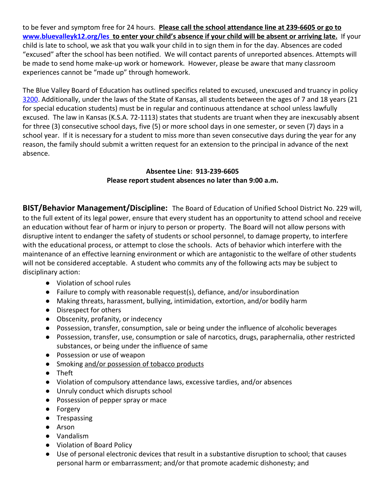to be fever and symptom free for 24 hours. **Please call the school attendance line at 239-6605 or go to [www.bluevalleyk12.org/les](http://www.bluevalleyk12.org/les) to enter your child's absence if your child will be absent or arriving late.** If your child is late to school, we ask that you walk your child in to sign them in for the day. Absences are coded "excused" after the school has been notified. We will contact parents of unreported absences. Attempts will be made to send home make-up work or homework. However, please be aware that many classroom experiences cannot be "made up" through homework.

The Blue Valley Board of Education has outlined specifics related to excused, unexcused and truancy in policy [3200](https://district.bluevalleyk12.org/DistrictInformation/Policies/3200policy.pdf). Additionally, under the laws of the State of Kansas, all students between the ages of 7 and 18 years (21 for special education students) must be in regular and continuous attendance at school unless lawfully excused. The law in Kansas (K.S.A. 72-1113) states that students are truant when they are inexcusably absent for three (3) consecutive school days, five (5) or more school days in one semester, or seven (7) days in a school year. If it is necessary for a student to miss more than seven consecutive days during the year for any reason, the family should submit a written request for an extension to the principal in advance of the next absence.

#### **Absentee Line: 913-239-6605 Please report student absences no later than 9:00 a.m.**

**BIST/Behavior Management/Discipline:** The Board of Education of Unified School District No. 229 will, to the full extent of its legal power, ensure that every student has an opportunity to attend school and receive an education without fear of harm or injury to person or property. The Board will not allow persons with disruptive intent to endanger the safety of students or school personnel, to damage property, to interfere with the educational process, or attempt to close the schools. Acts of behavior which interfere with the maintenance of an effective learning environment or which are antagonistic to the welfare of other students will not be considered acceptable. A student who commits any of the following acts may be subject to disciplinary action:

- Violation of school rules
- Failure to comply with reasonable request(s), defiance, and/or insubordination
- Making threats, harassment, bullying, intimidation, extortion, and/or bodily harm
- Disrespect for others
- Obscenity, profanity, or indecency
- Possession, transfer, consumption, sale or being under the influence of alcoholic beverages
- Possession, transfer, use, consumption or sale of narcotics, drugs, paraphernalia, other restricted substances, or being under the influence of same
- Possession or use of weapon
- Smoking and/or possession of tobacco products
- Theft
- Violation of compulsory attendance laws, excessive tardies, and/or absences
- Unruly conduct which disrupts school
- Possession of pepper spray or mace
- Forgery
- Trespassing
- Arson
- Vandalism
- Violation of Board Policy
- Use of personal electronic devices that result in a substantive disruption to school; that causes personal harm or embarrassment; and/or that promote academic dishonesty; and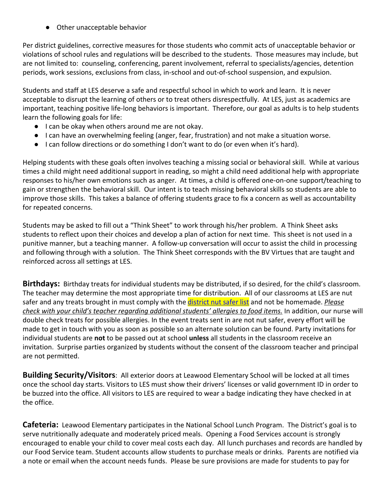● Other unacceptable behavior

Per district guidelines, corrective measures for those students who commit acts of unacceptable behavior or violations of school rules and regulations will be described to the students. Those measures may include, but are not limited to: counseling, conferencing, parent involvement, referral to specialists/agencies, detention periods, work sessions, exclusions from class, in-school and out-of-school suspension, and expulsion.

Students and staff at LES deserve a safe and respectful school in which to work and learn. It is never acceptable to disrupt the learning of others or to treat others disrespectfully. At LES, just as academics are important, teaching positive life-long behaviors is important. Therefore, our goal as adults is to help students learn the following goals for life:

- I can be okay when others around me are not okay.
- I can have an overwhelming feeling (anger, fear, frustration) and not make a situation worse.
- I can follow directions or do something I don't want to do (or even when it's hard).

Helping students with these goals often involves teaching a missing social or behavioral skill. While at various times a child might need additional support in reading, so might a child need additional help with appropriate responses to his/her own emotions such as anger. At times, a child is offered one-on-one support/teaching to gain or strengthen the behavioral skill. Our intent is to teach missing behavioral skills so students are able to improve those skills. This takes a balance of offering students grace to fix a concern as well as accountability for repeated concerns.

Students may be asked to fill out a "Think Sheet" to work through his/her problem. A Think Sheet asks students to reflect upon their choices and develop a plan of action for next time. This sheet is not used in a punitive manner, but a teaching manner. A follow-up conversation will occur to assist the child in processing and following through with a solution. The Think Sheet corresponds with the BV Virtues that are taught and reinforced across all settings at LES.

**Birthdays:** Birthday treats for individual students may be distributed, if so desired, for the child's classroom. The teacher may determine the most appropriate time for distribution. All of our classrooms at LES are nut safer and any treats brought in must comply with the **district nut safer list** and not be homemade. *Please check with your child's teacher regarding additional students' allergies to food items.* In addition, our nurse will double check treats for possible allergies. In the event treats sent in are not nut safer, every effort will be made to get in touch with you as soon as possible so an alternate solution can be found. Party invitations for individual students are **not** to be passed out at school **unless** all students in the classroom receive an invitation. Surprise parties organized by students without the consent of the classroom teacher and principal are not permitted.

**Building Security/Visitors**: All exterior doors at Leawood Elementary School will be locked at all times once the school day starts. Visitors to LES must show their drivers' licenses or valid government ID in order to be buzzed into the office. All visitors to LES are required to wear a badge indicating they have checked in at the office.

**Cafeteria:** Leawood Elementary participates in the National School Lunch Program. The District's goal is to serve nutritionally adequate and moderately priced meals. Opening a Food Services account is strongly encouraged to enable your child to cover meal costs each day. All lunch purchases and records are handled by our Food Service team. Student accounts allow students to purchase meals or drinks. Parents are notified via a note or email when the account needs funds. Please be sure provisions are made for students to pay for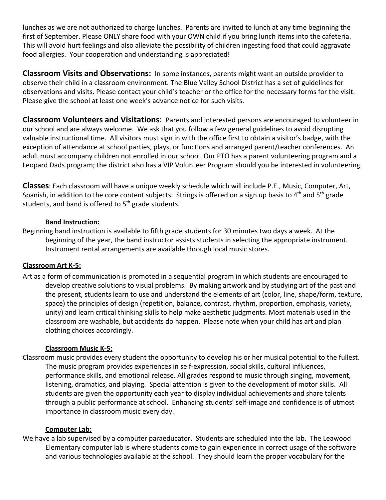lunches as we are not authorized to charge lunches. Parents are invited to lunch at any time beginning the first of September. Please ONLY share food with your OWN child if you bring lunch items into the cafeteria. This will avoid hurt feelings and also alleviate the possibility of children ingesting food that could aggravate food allergies. Your cooperation and understanding is appreciated!

**Classroom Visits and Observations:** In some instances, parents might want an outside provider to observe their child in a classroom environment. The Blue Valley School District has a set of guidelines for observations and visits. Please contact your child's teacher or the office for the necessary forms for the visit. Please give the school at least one week's advance notice for such visits.

**Classroom Volunteers and Visitations**: Parents and interested persons are encouraged to volunteer in our school and are always welcome. We ask that you follow a few general guidelines to avoid disrupting valuable instructional time. All visitors must sign in with the office first to obtain a visitor's badge, with the exception of attendance at school parties, plays, or functions and arranged parent/teacher conferences. An adult must accompany children not enrolled in our school. Our PTO has a parent volunteering program and a Leopard Dads program; the district also has a VIP Volunteer Program should you be interested in volunteering.

**Classes**: Each classroom will have a unique weekly schedule which will include P.E., Music, Computer, Art, Spanish, in addition to the core content subjects. Strings is offered on a sign up basis to 4<sup>th</sup> and 5<sup>th</sup> grade students, and band is offered to  $5<sup>th</sup>$  grade students.

#### **Band Instruction:**

Beginning band instruction is available to fifth grade students for 30 minutes two days a week. At the beginning of the year, the band instructor assists students in selecting the appropriate instrument. Instrument rental arrangements are available through local music stores.

#### **Classroom Art K-5:**

Art as a form of communication is promoted in a sequential program in which students are encouraged to develop creative solutions to visual problems. By making artwork and by studying art of the past and the present, students learn to use and understand the elements of art (color, line, shape/form, texture, space) the principles of design (repetition, balance, contrast, rhythm, proportion, emphasis, variety, unity) and learn critical thinking skills to help make aesthetic judgments. Most materials used in the classroom are washable, but accidents do happen. Please note when your child has art and plan clothing choices accordingly.

#### **Classroom Music K-5:**

Classroom music provides every student the opportunity to develop his or her musical potential to the fullest. The music program provides experiences in self-expression, social skills, cultural influences, performance skills, and emotional release. All grades respond to music through singing, movement, listening, dramatics, and playing. Special attention is given to the development of motor skills. All students are given the opportunity each year to display individual achievements and share talents through a public performance at school. Enhancing students' self-image and confidence is of utmost importance in classroom music every day.

#### **Computer Lab:**

We have a lab supervised by a computer paraeducator. Students are scheduled into the lab. The Leawood Elementary computer lab is where students come to gain experience in correct usage of the software and various technologies available at the school. They should learn the proper vocabulary for the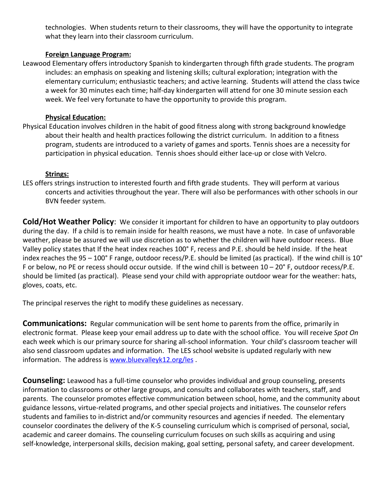technologies. When students return to their classrooms, they will have the opportunity to integrate what they learn into their classroom curriculum.

#### **Foreign Language Program:**

Leawood Elementary offers introductory Spanish to kindergarten through fifth grade students. The program includes: an emphasis on speaking and listening skills; cultural exploration; integration with the elementary curriculum; enthusiastic teachers; and active learning. Students will attend the class twice a week for 30 minutes each time; half-day kindergarten will attend for one 30 minute session each week. We feel very fortunate to have the opportunity to provide this program.

#### **Physical Education:**

Physical Education involves children in the habit of good fitness along with strong background knowledge about their health and health practices following the district curriculum. In addition to a fitness program, students are introduced to a variety of games and sports. Tennis shoes are a necessity for participation in physical education. Tennis shoes should either lace-up or close with Velcro.

#### **Strings:**

LES offers strings instruction to interested fourth and fifth grade students. They will perform at various concerts and activities throughout the year. There will also be performances with other schools in our BVN feeder system.

**Cold/Hot Weather Policy**: We consider it important for children to have an opportunity to play outdoors during the day. If a child is to remain inside for health reasons, we must have a note. In case of unfavorable weather, please be assured we will use discretion as to whether the children will have outdoor recess. Blue Valley policy states that If the heat index reaches 100° F, recess and P.E. should be held inside. If the heat index reaches the 95 – 100° F range, outdoor recess/P.E. should be limited (as practical). If the wind chill is 10° F or below, no PE or recess should occur outside. If the wind chill is between 10 – 20° F, outdoor recess/P.E. should be limited (as practical). Please send your child with appropriate outdoor wear for the weather: hats, gloves, coats, etc.

The principal reserves the right to modify these guidelines as necessary.

**Communications:** Regular communication will be sent home to parents from the office, primarily in electronic format. Please keep your email address up to date with the school office. You will receive *Spot On* each week which is our primary source for sharing all-school information. Your child's classroom teacher will also send classroom updates and information. The LES school website is updated regularly with new information. The address is [www.bluevalleyk12.org/les](http://www.bluevalleyk12.org/les).

**Counseling:** Leawood has a full-time counselor who provides individual and group counseling, presents information to classrooms or other large groups, and consults and collaborates with teachers, staff, and parents. The counselor promotes effective communication between school, home, and the community about guidance lessons, virtue-related programs, and other special projects and initiatives. The counselor refers students and families to in-district and/or community resources and agencies if needed. The elementary counselor coordinates the delivery of the K-5 counseling curriculum which is comprised of personal, social, academic and career domains. The counseling curriculum focuses on such skills as acquiring and using self-knowledge, interpersonal skills, decision making, goal setting, personal safety, and career development.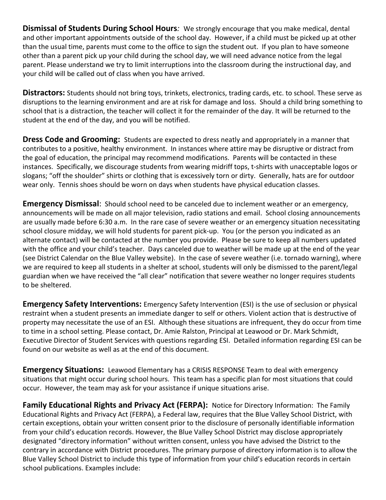**Dismissal of Students During School Hours***:* We strongly encourage that you make medical, dental and other important appointments outside of the school day. However, if a child must be picked up at other than the usual time, parents must come to the office to sign the student out. If you plan to have someone other than a parent pick up your child during the school day, we will need advance notice from the legal parent. Please understand we try to limit interruptions into the classroom during the instructional day, and your child will be called out of class when you have arrived.

**Distractors:** Students should not bring toys, trinkets, electronics, trading cards, etc. to school. These serve as disruptions to the learning environment and are at risk for damage and loss. Should a child bring something to school that is a distraction, the teacher will collect it for the remainder of the day. It will be returned to the student at the end of the day, and you will be notified.

**Dress Code and Grooming:** Students are expected to dress neatly and appropriately in a manner that contributes to a positive, healthy environment. In instances where attire may be disruptive or distract from the goal of education, the principal may recommend modifications. Parents will be contacted in these instances. Specifically, we discourage students from wearing midriff tops, t-shirts with unacceptable logos or slogans; "off the shoulder" shirts or clothing that is excessively torn or dirty. Generally, hats are for outdoor wear only. Tennis shoes should be worn on days when students have physical education classes.

**Emergency Dismissal**: Should school need to be canceled due to inclement weather or an emergency, announcements will be made on all major television, radio stations and email. School closing announcements are usually made before 6:30 a.m. In the rare case of severe weather or an emergency situation necessitating school closure midday, we will hold students for parent pick-up. You (or the person you indicated as an alternate contact) will be contacted at the number you provide. Please be sure to keep all numbers updated with the office and your child's teacher. Days canceled due to weather will be made up at the end of the year (see District Calendar on the Blue Valley website). In the case of severe weather (i.e. tornado warning), where we are required to keep all students in a shelter at school, students will only be dismissed to the parent/legal guardian when we have received the "all clear" notification that severe weather no longer requires students to be sheltered.

**Emergency Safety Interventions:** Emergency Safety Intervention (ESI) is the use of seclusion or physical restraint when a student presents an immediate danger to self or others. Violent action that is destructive of property may necessitate the use of an ESI. Although these situations are infrequent, they do occur from time to time in a school setting. Please contact, Dr. Amie Ralston, Principal at Leawood or Dr. Mark Schmidt, Executive Director of Student Services with questions regarding ESI. Detailed information regarding ESI can be found on our website as well as at the end of this document.

**Emergency Situations:** Leawood Elementary has a CRISIS RESPONSE Team to deal with emergency situations that might occur during school hours. This team has a specific plan for most situations that could occur. However, the team may ask for your assistance if unique situations arise.

**Family Educational Rights and Privacy Act (FERPA):** Notice for Directory Information: The Family Educational Rights and Privacy Act (FERPA), a Federal law, requires that the Blue Valley School District, with certain exceptions, obtain your written consent prior to the disclosure of personally identifiable information from your child's education records. However, the Blue Valley School District may disclose appropriately designated "directory information" without written consent, unless you have advised the District to the contrary in accordance with District procedures. The primary purpose of directory information is to allow the Blue Valley School District to include this type of information from your child's education records in certain school publications. Examples include: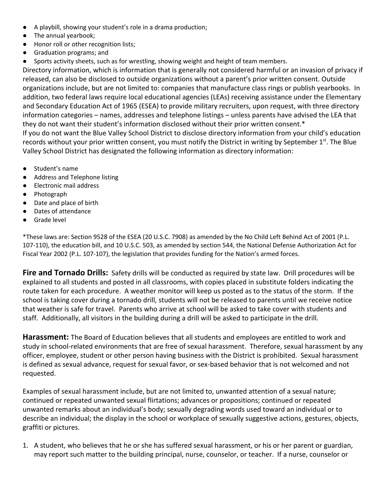- A playbill, showing your student's role in a drama production;
- The annual yearbook;
- Honor roll or other recognition lists;
- Graduation programs; and
- Sports activity sheets, such as for wrestling, showing weight and height of team members.

Directory information, which is information that is generally not considered harmful or an invasion of privacy if released, can also be disclosed to outside organizations without a parent's prior written consent. Outside organizations include, but are not limited to: companies that manufacture class rings or publish yearbooks. In addition, two federal laws require local educational agencies (LEAs) receiving assistance under the Elementary and Secondary Education Act of 1965 (ESEA) to provide military recruiters, upon request, with three directory information categories – names, addresses and telephone listings – unless parents have advised the LEA that they do not want their student's information disclosed without their prior written consent.\*

If you do not want the Blue Valley School District to disclose directory information from your child's education records without your prior written consent, you must notify the District in writing by September 1st. The Blue Valley School District has designated the following information as directory information:

- Student's name
- Address and Telephone listing
- Electronic mail address
- Photograph
- Date and place of birth
- Dates of attendance
- Grade level

\*These laws are: Section 9528 of the ESEA (20 U.S.C. 7908) as amended by the No Child Left Behind Act of 2001 (P.L. 107-110), the education bill, and 10 U.S.C. 503, as amended by section 544, the National Defense Authorization Act for Fiscal Year 2002 (P.L. 107-107), the legislation that provides funding for the Nation's armed forces.

**Fire and Tornado Drills:** Safety drills will be conducted as required by state law. Drill procedures will be explained to all students and posted in all classrooms, with copies placed in substitute folders indicating the route taken for each procedure. A weather monitor will keep us posted as to the status of the storm. If the school is taking cover during a tornado drill, students will not be released to parents until we receive notice that weather is safe for travel. Parents who arrive at school will be asked to take cover with students and staff. Additionally, all visitors in the building during a drill will be asked to participate in the drill.

**Harassment:** The Board of Education believes that all students and employees are entitled to work and study in school-related environments that are free of sexual harassment. Therefore, sexual harassment by any officer, employee, student or other person having business with the District is prohibited. Sexual harassment is defined as sexual advance, request for sexual favor, or sex-based behavior that is not welcomed and not requested.

Examples of sexual harassment include, but are not limited to, unwanted attention of a sexual nature; continued or repeated unwanted sexual flirtations; advances or propositions; continued or repeated unwanted remarks about an individual's body; sexually degrading words used toward an individual or to describe an individual; the display in the school or workplace of sexually suggestive actions, gestures, objects, graffiti or pictures.

1. A student, who believes that he or she has suffered sexual harassment, or his or her parent or guardian, may report such matter to the building principal, nurse, counselor, or teacher. If a nurse, counselor or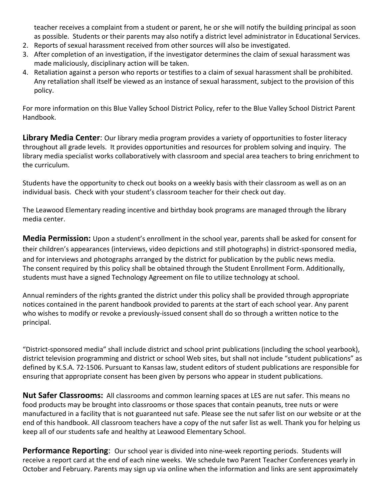teacher receives a complaint from a student or parent, he or she will notify the building principal as soon as possible. Students or their parents may also notify a district level administrator in Educational Services.

- 2. Reports of sexual harassment received from other sources will also be investigated.
- 3. After completion of an investigation, if the investigator determines the claim of sexual harassment was made maliciously, disciplinary action will be taken.
- 4. Retaliation against a person who reports or testifies to a claim of sexual harassment shall be prohibited. Any retaliation shall itself be viewed as an instance of sexual harassment, subject to the provision of this policy.

For more information on this Blue Valley School District Policy, refer to the Blue Valley School District Parent Handbook.

**Library Media Center**: Our library media program provides a variety of opportunities to foster literacy throughout all grade levels. It provides opportunities and resources for problem solving and inquiry. The library media specialist works collaboratively with classroom and special area teachers to bring enrichment to the curriculum.

Students have the opportunity to check out books on a weekly basis with their classroom as well as on an individual basis. Check with your student's classroom teacher for their check out day.

The Leawood Elementary reading incentive and birthday book programs are managed through the library media center.

**Media Permission:** Upon a student's enrollment in the school year, parents shall be asked for consent for their children's appearances (interviews, video depictions and still photographs) in district-sponsored media, and for interviews and photographs arranged by the district for publication by the public news media. The consent required by this policy shall be obtained through the Student Enrollment Form. Additionally, students must have a signed Technology Agreement on file to utilize technology at school.

Annual reminders of the rights granted the district under this policy shall be provided through appropriate notices contained in the parent handbook provided to parents at the start of each school year. Any parent who wishes to modify or revoke a previously-issued consent shall do so through a written notice to the principal.

"District-sponsored media" shall include district and school print publications (including the school yearbook), district television programming and district or school Web sites, but shall not include "student publications" as defined by K.S.A. 72-1506. Pursuant to Kansas law, student editors of student publications are responsible for ensuring that appropriate consent has been given by persons who appear in student publications.

**Nut Safer Classrooms:** All classrooms and common learning spaces at LES are nut safer. This means no food products may be brought into classrooms or those spaces that contain peanuts, tree nuts or were manufactured in a facility that is not guaranteed nut safe. Please see the nut safer list on our website or at the end of this handbook. All classroom teachers have a copy of the nut safer list as well. Thank you for helping us keep all of our students safe and healthy at Leawood Elementary School.

**Performance Reporting**: Our school year is divided into nine-week reporting periods. Students will receive a report card at the end of each nine weeks. We schedule two Parent Teacher Conferences yearly in October and February. Parents may sign up via online when the information and links are sent approximately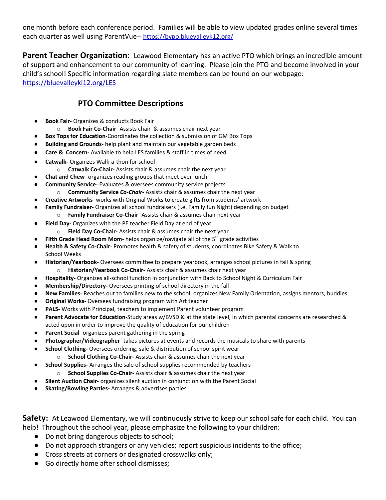one month before each conference period. Families will be able to view updated grades online several times each quarter as well using ParentVue-- <https://bvpo.bluevalleyk12.org/>

**Parent Teacher Organization:** Leawood Elementary has an active PTO which brings an incredible amount of support and enhancement to our community of learning. Please join the PTO and become involved in your child's school! Specific information regarding slate members can be found on our webpage: <https://bluevalleyki12.org/LES>

## **PTO Committee Descriptions**

- **Book Fair** Organizes & conducts Book Fair
	- o **Book Fair Co-Chair** Assists chair & assumes chair next year
- **Box Tops for Education**-Coordinates the collection & submission of GM Box Tops
- **Building and Grounds** help plant and maintain our vegetable garden beds
- **Care & Concern-** Available to help LES families & staff in times of need
- **Catwalk-** Organizes Walk-a-thon for school
	- o **Catwalk Co-Chair-** Assists chair & assumes chair the next year
- **Chat and Chew** organizes reading groups that meet over lunch
	- **Community Service** Evaluates & oversees community service projects
		- o **Community Service** *Co-Chair-* Assists chair & assumes chair the next year
- **Creative Artworks** works with Original Works to create gifts from students' artwork
	- **Family Fundraiser-** Organizes all school fundraisers (i.e. Family fun Night) depending on budget
		- o **Family Fundraiser Co-Chair** Assists chair & assumes chair next year
- **Field Day-** Organizes with the PE teacher Field Day at end of year
	- o **Field Day Co-Chair-** Assists chair & assumes chair the next year
- **Fifth Grade Head Room Mom-** helps organize/navigate all of the 5<sup>th</sup> grade activities
- **Health & Safety Co-Chair** Promotes health & safety of students, coordinates Bike Safety & Walk to School Weeks
- **Historian/Yearbook** Oversees committee to prepare yearbook, arranges school pictures in fall & spring o **Historian/Yearbook Co-Chair**- Assists chair & assumes chair next year
- **Hospitality-** Organizes all-school function in conjunction with Back to School Night & Curriculum Fair
- **Membership/Directory-** Oversees printing of school directory in the fall
- New Families- Reaches out to families new to the school, organizes New Family Orientation, assigns mentors, buddies
- **Original Works-** Oversees fundraising program with Art teacher
- PALS- Works with Principal, teachers to implement Parent volunteer program
- **Parent Advocate for Education**-Study areas w/BVSD & at the state level, in which parental concerns are researched & acted upon in order to improve the quality of education for our children
- Parent Social- organizes parent gathering in the spring
- Photographer/Videographer- takes pictures at events and records the musicals to share with parents
- **School Clothing-** Oversees ordering, sale & distribution of school spirit wear
	- o **School Clothing Co-Chair***-* Assists chair & assumes chair the next year
- **School Supplies-** Arranges the sale of school supplies recommended by teachers
	- o **School Supplies Co-Chair-** Assists chair & assumes chair the next year
- **Silent Auction Chair-** organizes silent auction in conjunction with the Parent Social
- **Skating/Bowling Parties-** Arranges & advertises parties

**Safety:** At Leawood Elementary, we will continuously strive to keep our school safe for each child. You can help! Throughout the school year, please emphasize the following to your children:

- Do not bring dangerous objects to school;
- Do not approach strangers or any vehicles; report suspicious incidents to the office;
- Cross streets at corners or designated crosswalks only;
- Go directly home after school dismisses;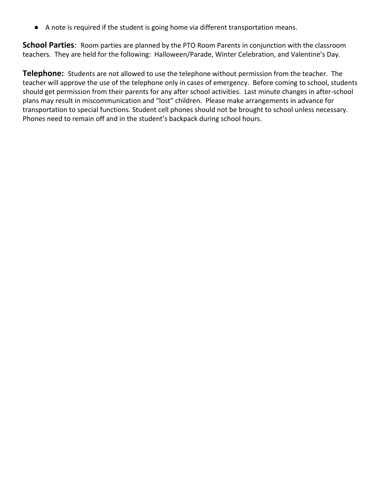● A note is required if the student is going home via different transportation means.

**School Parties**: Room parties are planned by the PTO Room Parents in conjunction with the classroom teachers. They are held for the following: Halloween/Parade, Winter Celebration, and Valentine's Day*.*

**Telephone:** Students are not allowed to use the telephone without permission from the teacher. The teacher will approve the use of the telephone only in cases of emergency. Before coming to school, students should get permission from their parents for any after school activities. Last minute changes in after-school plans may result in miscommunication and "lost" children. Please make arrangements in advance for transportation to special functions. Student cell phones should not be brought to school unless necessary. Phones need to remain off and in the student's backpack during school hours.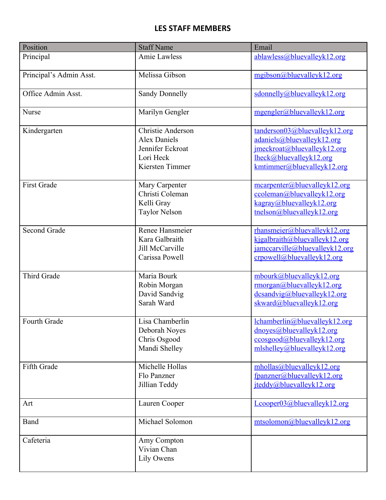## **LES STAFF MEMBERS**

| Position                | <b>Staff Name</b>                                                                            | Email                                                                                                                                               |
|-------------------------|----------------------------------------------------------------------------------------------|-----------------------------------------------------------------------------------------------------------------------------------------------------|
| Principal               | Amie Lawless                                                                                 | ablawless@bluevalleyk12.org                                                                                                                         |
| Principal's Admin Asst. | Melissa Gibson                                                                               | mgibson@bluevalleyk12.org                                                                                                                           |
| Office Admin Asst.      | <b>Sandy Donnelly</b>                                                                        | sdonnelly@bluevalleyk12.org                                                                                                                         |
| <b>Nurse</b>            | Marilyn Gengler                                                                              | mgengler@bluevalleyk12.org                                                                                                                          |
| Kindergarten            | Christie Anderson<br><b>Alex Daniels</b><br>Jennifer Eckroat<br>Lori Heck<br>Kiersten Timmer | tanderson03@bluevalleyk12.org<br>adaniels@bluevalleyk12.org<br>imeckroat@bluevalleyk12.org<br>lheck@bluevalleyk12.org<br>kmtimmer@bluevalleyk12.org |
| <b>First Grade</b>      | Mary Carpenter<br>Christi Coleman<br>Kelli Gray<br><b>Taylor Nelson</b>                      | mcarpenter@bluevalleyk12.org<br>ccoleman@bluevalleyk12.org<br>kagray@bluevalleyk12.org<br>tnelson@bluevalleyk12.org                                 |
| <b>Second Grade</b>     | Renee Hansmeier<br>Kara Galbraith<br>Jill McCarville<br>Carissa Powell                       | rhansmeier@bluevalleyk12.org<br>kjgalbraith@bluevalleyk12.org<br>jamccarville@bluevalleyk12.org<br>crpowell@bluevalleyk12.org                       |
| <b>Third Grade</b>      | Maria Bourk<br>Robin Morgan<br>David Sandvig<br>Sarah Ward                                   | mbourk@bluevalleyk12.org<br>rmorgan@bluevalleyk12.org<br>dcsandvig(a) bluevalleyk12.org<br>skward@bluevalleyk12.org                                 |
| <b>Fourth Grade</b>     | Lisa Chamberlin<br>Deborah Noyes<br>Chris Osgood<br>Mandi Shelley                            | lchamberlin@bluevalleyk12.org<br>dnoyes@bluevalleyk12.org<br>$ccosgood(\omega)$ bluevalleyk12.org<br>mlshelley@bluevalleyk12.org                    |
| Fifth Grade             | Michelle Hollas<br>Flo Panzner<br>Jillian Teddy                                              | mhollas@bluevalleyk12.org<br>fpanzner@bluevalleyk12.org<br>jteddy@bluevalleyk12.org                                                                 |
| Art                     | Lauren Cooper                                                                                | Lcooper03@bluevalleyk12.org                                                                                                                         |
| Band                    | Michael Solomon                                                                              | mtsolomon@bluevalleyk12.org                                                                                                                         |
| Cafeteria               | Amy Compton<br>Vivian Chan<br>Lily Owens                                                     |                                                                                                                                                     |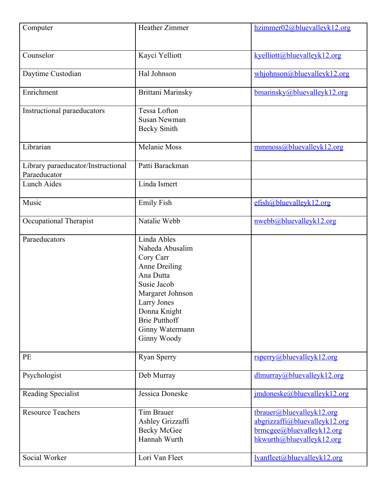| Computer                                           | <b>Heather Zimmer</b>                                                                                                                                                                                 | hzimmer02@bluevalleyk12.org                                                                                          |
|----------------------------------------------------|-------------------------------------------------------------------------------------------------------------------------------------------------------------------------------------------------------|----------------------------------------------------------------------------------------------------------------------|
| Counselor                                          | Kayci Yelliott                                                                                                                                                                                        | kyelliott@bluevalleyk12.org                                                                                          |
| Daytime Custodian                                  | Hal Johnson                                                                                                                                                                                           | whjohnson@bluevalleyk12.org                                                                                          |
| Enrichment                                         | Brittani Marinsky                                                                                                                                                                                     | $b$ marinsky@bluevalleyk12.org                                                                                       |
| Instructional paraeducators                        | Tessa Lofton<br><b>Susan Newman</b><br><b>Becky Smith</b>                                                                                                                                             |                                                                                                                      |
| Librarian                                          | <b>Melanie Moss</b>                                                                                                                                                                                   | mmmoss@bluevalleyk12.org                                                                                             |
| Library paraeducator/Instructional<br>Paraeducator | Patti Barackman                                                                                                                                                                                       |                                                                                                                      |
| <b>Lunch Aides</b>                                 | Linda Ismert                                                                                                                                                                                          |                                                                                                                      |
| Music                                              | <b>Emily Fish</b>                                                                                                                                                                                     | efish@bluevalleyk12.org                                                                                              |
| Occupational Therapist                             | Natalie Webb                                                                                                                                                                                          | nwebb@bluevalleyk12.org                                                                                              |
| Paraeducators                                      | Linda Ables<br>Naheda Abusalim<br>Cory Carr<br>Anne Dreiling<br>Ana Dutta<br>Susie Jacob<br>Margaret Johnson<br>Larry Jones<br>Donna Knight<br><b>Brie Putthoff</b><br>Ginny Watermann<br>Ginny Woody |                                                                                                                      |
| PE                                                 | <b>Ryan Sperry</b>                                                                                                                                                                                    | rsperry@bluevalleyk12.org                                                                                            |
| Psychologist                                       | Deb Murray                                                                                                                                                                                            | dlmurray@bluevalleyk12.org                                                                                           |
| Reading Specialist                                 | Jessica Doneske                                                                                                                                                                                       | imdoneske@bluevalleyk12.org                                                                                          |
| <b>Resource Teachers</b>                           | Tim Brauer<br>Ashley Grizzaffi<br><b>Becky McGee</b><br>Hannah Wurth                                                                                                                                  | tbrauer@bluevalleyk12.org<br>abgrizzaffi@bluevalleyk12.org<br>brmcgee@bluevalleyk12.org<br>hkwurth@bluevalleyk12.org |
| Social Worker                                      | Lori Van Fleet                                                                                                                                                                                        | lvanfleet@bluevalleyk12.org                                                                                          |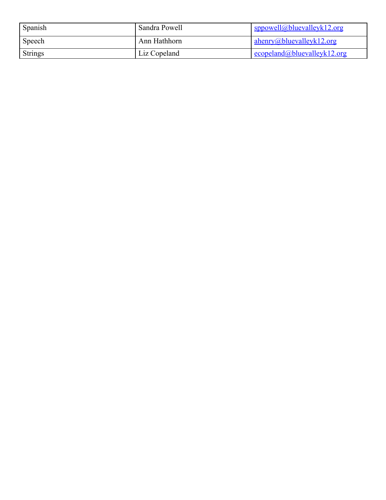| Spanish        | Sandra Powell | sppowell@blue valueyk12.org |
|----------------|---------------|-----------------------------|
| Speech         | Ann Hathhorn  | ahenry@bluevalleyk12.org    |
| <b>Strings</b> | Liz Copeland  | ecopeland@bluevalleyk12.org |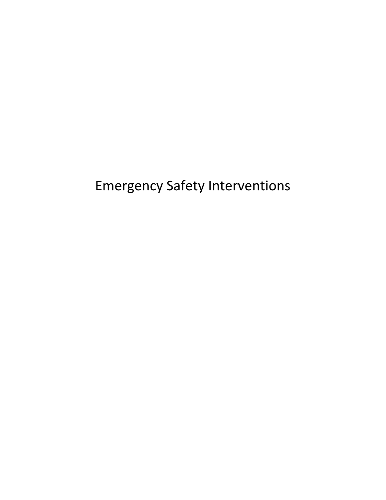Emergency Safety Interventions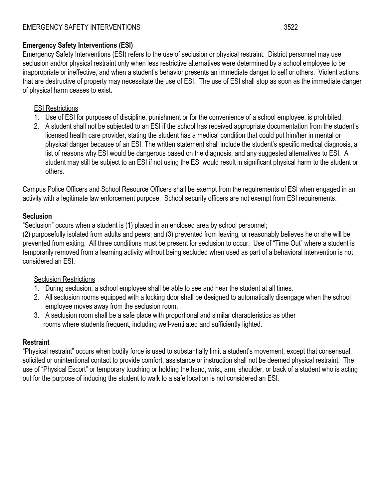## EMERGENCY SAFETY INTERVENTIONS 3522

## **Emergency Safety Interventions (ESI)**

Emergency Safety Interventions (ESI) refers to the use of seclusion or physical restraint. District personnel may use seclusion and/or physical restraint only when less restrictive alternatives were determined by a school employee to be inappropriate or ineffective, and when a student's behavior presents an immediate danger to self or others. Violent actions that are destructive of property may necessitate the use of ESI. The use of ESI shall stop as soon as the immediate danger of physical harm ceases to exist.

## ESI Restrictions

- 1. Use of ESI for purposes of discipline, punishment or for the convenience of a school employee, is prohibited.
- 2. A student shall not be subjected to an ESI if the school has received appropriate documentation from the student's licensed health care provider, stating the student has a medical condition that could put him/her in mental or physical danger because of an ESI. The written statement shall include the student's specific medical diagnosis, a list of reasons why ESI would be dangerous based on the diagnosis, and any suggested alternatives to ESI. A student may still be subject to an ESI if not using the ESI would result in significant physical harm to the student or others.

Campus Police Officers and School Resource Officers shall be exempt from the requirements of ESI when engaged in an activity with a legitimate law enforcement purpose. School security officers are not exempt from ESI requirements.

## **Seclusion**

"Seclusion" occurs when a student is (1) placed in an enclosed area by school personnel;

(2) purposefully isolated from adults and peers; and (3) prevented from leaving, or reasonably believes he or she will be prevented from exiting. All three conditions must be present for seclusion to occur. Use of "Time Out" where a student is temporarily removed from a learning activity without being secluded when used as part of a behavioral intervention is not considered an ESI.

#### Seclusion Restrictions

- 1. During seclusion, a school employee shall be able to see and hear the student at all times.
- 2. All seclusion rooms equipped with a locking door shall be designed to automatically disengage when the school employee moves away from the seclusion room.
- 3. A seclusion room shall be a safe place with proportional and similar characteristics as other rooms where students frequent, including well-ventilated and sufficiently lighted.

## **Restraint**

"Physical restraint" occurs when bodily force is used to substantially limit a student's movement, except that consensual, solicited or unintentional contact to provide comfort, assistance or instruction shall not be deemed physical restraint. The use of "Physical Escort" or temporary touching or holding the hand, wrist, arm, shoulder, or back of a student who is acting out for the purpose of inducing the student to walk to a safe location is not considered an ESI.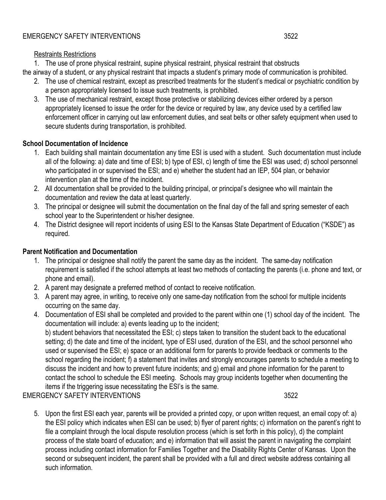## Restraints Restrictions

1. The use of prone physical restraint, supine physical restraint, physical restraint that obstructs

the airway of a student, or any physical restraint that impacts a student's primary mode of communication is prohibited.

- 2. The use of chemical restraint, except as prescribed treatments for the student's medical or psychiatric condition by a person appropriately licensed to issue such treatments, is prohibited.
- 3. The use of mechanical restraint, except those protective or stabilizing devices either ordered by a person appropriately licensed to issue the order for the device or required by law, any device used by a certified law enforcement officer in carrying out law enforcement duties, and seat belts or other safety equipment when used to secure students during transportation, is prohibited.

## **School Documentation of Incidence**

- 1. Each building shall maintain documentation any time ESI is used with a student. Such documentation must include all of the following: a) date and time of ESI; b) type of ESI, c) length of time the ESI was used; d) school personnel who participated in or supervised the ESI; and e) whether the student had an IEP, 504 plan, or behavior intervention plan at the time of the incident.
- 2. All documentation shall be provided to the building principal, or principal's designee who will maintain the documentation and review the data at least quarterly.
- 3. The principal or designee will submit the documentation on the final day of the fall and spring semester of each school year to the Superintendent or his/her designee.
- 4. The District designee will report incidents of using ESI to the Kansas State Department of Education ("KSDE") as required.

## **Parent Notification and Documentation**

- 1. The principal or designee shall notify the parent the same day as the incident. The same-day notification requirement is satisfied if the school attempts at least two methods of contacting the parents (i.e. phone and text, or phone and email).
- 2. A parent may designate a preferred method of contact to receive notification.
- 3. A parent may agree, in writing, to receive only one same-day notification from the school for multiple incidents occurring on the same day.
- 4. Documentation of ESI shall be completed and provided to the parent within one (1) school day of the incident. The documentation will include: a) events leading up to the incident;

b) student behaviors that necessitated the ESI; c) steps taken to transition the student back to the educational setting; d) the date and time of the incident, type of ESI used, duration of the ESI, and the school personnel who used or supervised the ESI; e) space or an additional form for parents to provide feedback or comments to the school regarding the incident; f) a statement that invites and strongly encourages parents to schedule a meeting to discuss the incident and how to prevent future incidents; and g) email and phone information for the parent to contact the school to schedule the ESI meeting. Schools may group incidents together when documenting the items if the triggering issue necessitating the ESI's is the same.

## EMERGENCY SAFETY INTERVENTIONS 3522

5. Upon the first ESI each year, parents will be provided a printed copy, or upon written request, an email copy of: a) the ESI policy which indicates when ESI can be used; b) flyer of parent rights; c) information on the parent's right to file a complaint through the local dispute resolution process (which is set forth in this policy), d) the complaint process of the state board of education; and e) information that will assist the parent in navigating the complaint process including contact information for Families Together and the Disability Rights Center of Kansas. Upon the second or subsequent incident, the parent shall be provided with a full and direct website address containing all such information.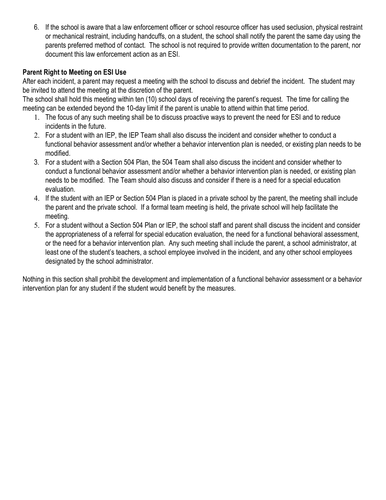6. If the school is aware that a law enforcement officer or school resource officer has used seclusion, physical restraint or mechanical restraint, including handcuffs, on a student, the school shall notify the parent the same day using the parents preferred method of contact. The school is not required to provide written documentation to the parent, nor document this law enforcement action as an ESI.

## **Parent Right to Meeting on ESI Use**

After each incident, a parent may request a meeting with the school to discuss and debrief the incident. The student may be invited to attend the meeting at the discretion of the parent.

The school shall hold this meeting within ten (10) school days of receiving the parent's request. The time for calling the meeting can be extended beyond the 10-day limit if the parent is unable to attend within that time period.

- 1. The focus of any such meeting shall be to discuss proactive ways to prevent the need for ESI and to reduce incidents in the future.
- 2. For a student with an IEP, the IEP Team shall also discuss the incident and consider whether to conduct a functional behavior assessment and/or whether a behavior intervention plan is needed, or existing plan needs to be modified.
- 3. For a student with a Section 504 Plan, the 504 Team shall also discuss the incident and consider whether to conduct a functional behavior assessment and/or whether a behavior intervention plan is needed, or existing plan needs to be modified. The Team should also discuss and consider if there is a need for a special education evaluation.
- 4. If the student with an IEP or Section 504 Plan is placed in a private school by the parent, the meeting shall include the parent and the private school. If a formal team meeting is held, the private school will help facilitate the meeting.
- 5. For a student without a Section 504 Plan or IEP, the school staff and parent shall discuss the incident and consider the appropriateness of a referral for special education evaluation, the need for a functional behavioral assessment, or the need for a behavior intervention plan. Any such meeting shall include the parent, a school administrator, at least one of the student's teachers, a school employee involved in the incident, and any other school employees designated by the school administrator.

Nothing in this section shall prohibit the development and implementation of a functional behavior assessment or a behavior intervention plan for any student if the student would benefit by the measures.